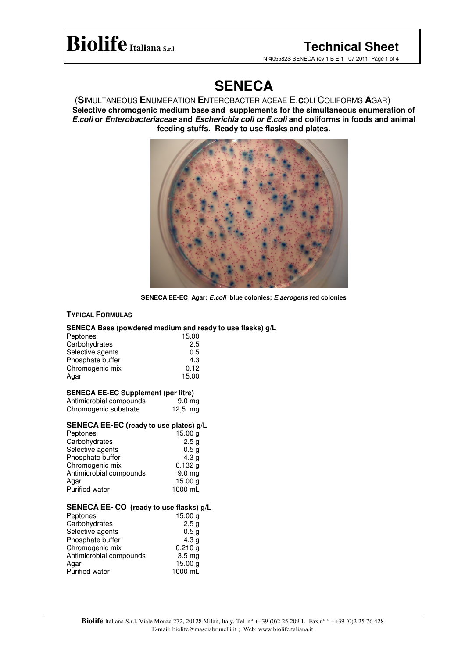## **BiolifeItaliana S.r.l. Technical Sheet**

N°405582S SENECA-rev.1 B E-1 07-2011 Page 1 of 4

## **SENECA**

(**S**IMULTANEOUS **EN**UMERATION **E**NTEROBACTERIACEAE E.**C**OLI COLIFORMS **A**GAR) **Selective chromogenic medium base and supplements for the simultaneous enumeration of** *E.coli* **or** *Enterobacteriaceae* **and** *Escherichia coli or E.coli* **and coliforms in foods and animal feeding stuffs. Ready to use flasks and plates.**



**SENECA EE-EC Agar:** *E.coli* **blue colonies;** *E.aerogens* **red colonies**

#### **TYPICAL FORMULAS**

## **SENECA Base (powdered medium and ready to use flasks) g/L**

| 15.00<br>2.5<br>0.5<br>4.3<br>0.12<br>15.00 |
|---------------------------------------------|
|                                             |
|                                             |
|                                             |
|                                             |
|                                             |
|                                             |
|                                             |
| 9.0 <sub>mg</sub>                           |
| 12,5 mg                                     |
| SENECA EE-EC (ready to use plates) g/L      |
| 15.00 g                                     |
| 2.5g                                        |
| 0.5 <sub>g</sub>                            |
| 4.3 <sub>g</sub>                            |
| 0.132g                                      |
| 9.0 mg                                      |
| 15.00 g                                     |
| 1000 mL                                     |
| SENECA EE- CO (ready to use flasks) g/L     |
| 15.00 g                                     |
| 2.5g                                        |
| 0.5 <sub>g</sub>                            |
| 4.3 <sub>g</sub>                            |
| 0.210 g                                     |
| 3.5 <sub>mg</sub>                           |
|                                             |

Antimicrobial compounds<br>Agar

Purified water 1000 mL

 $15.00 g$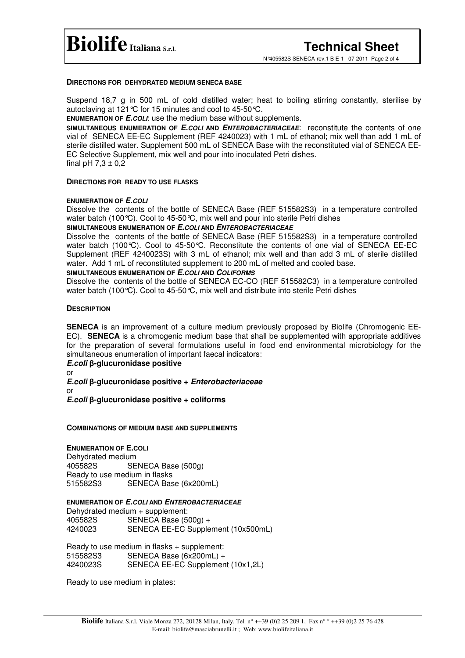N°405582S SENECA-rev.1 B E-1 07-2011 Page 2 of 4

#### **DIRECTIONS FOR DEHYDRATED MEDIUM SENECA BASE**

Suspend 18,7 g in 500 mL of cold distilled water; heat to boiling stirring constantly, sterilise by autoclaving at 121°C for 15 minutes and cool to 45-50°C.

**ENUMERATION OF** *E.COLI*: use the medium base without supplements.

**SIMULTANEOUS ENUMERATION OF** *E.COLI* **AND** *ENTEROBACTERIACEAE*: reconstitute the contents of one vial of SENECA EE-EC Supplement (REF 4240023) with 1 mL of ethanol; mix well than add 1 mL of sterile distilled water. Supplement 500 mL of SENECA Base with the reconstituted vial of SENECA EE-EC Selective Supplement, mix well and pour into inoculated Petri dishes. final pH  $7,3 \pm 0,2$ 

#### **DIRECTIONS FOR READY TO USE FLASKS**

#### **ENUMERATION OF** *E.COLI*

Dissolve the contents of the bottle of SENECA Base (REF 515582S3) in a temperature controlled water batch (100°C). Cool to 45-50°C, mix well and pour into sterile Petri dishes

#### **SIMULTANEOUS ENUMERATION OF** *E.COLI* **AND** *ENTEROBACTERIACEAE*

Dissolve the contents of the bottle of SENECA Base (REF 515582S3) in a temperature controlled water batch (100°C). Cool to 45-50°C. Reconstitute the contents of one vial of SENECA EE-EC Supplement (REF 4240023S) with 3 mL of ethanol; mix well and than add 3 mL of sterile distilled water. Add 1 mL of reconstituted supplement to 200 mL of melted and cooled base.

#### **SIMULTANEOUS ENUMERATION OF** *E.COLI* **AND** *COLIFORMS*

Dissolve the contents of the bottle of SENECA EC-CO (REF 515582C3) in a temperature controlled water batch (100°C). Cool to 45-50°C, mix well and distribute into sterile Petri dishes

#### **DESCRIPTION**

**SENECA** is an improvement of a culture medium previously proposed by Biolife (Chromogenic EE-EC). **SENECA** is a chromogenic medium base that shall be supplemented with appropriate additives for the preparation of several formulations useful in food end environmental microbiology for the simultaneous enumeration of important faecal indicators:

## *E.coli* β-glucuronidase positive

or *E.coli* **-glucuronidase positive +** *Enterobacteriaceae* or *E.coli* **-glucuronidase positive + coliforms**

#### **COMBINATIONS OF MEDIUM BASE AND SUPPLEMENTS**

#### **ENUMERATION OF E.COLI**

Dehydrated medium 405582S SENECA Base (500g) Ready to use medium in flasks SENECA Base (6x200mL)

#### **ENUMERATION OF** *E.COLI* **AND** *ENTEROBACTERIACEAE*

Dehydrated medium + supplement: 405582S SENECA Base (500g) + SENECA EE-EC Supplement (10x500mL)

Ready to use medium in flasks + supplement: 515582S3 SENECA Base (6x200mL) + SENECA EE-EC Supplement (10x1,2L)

Ready to use medium in plates: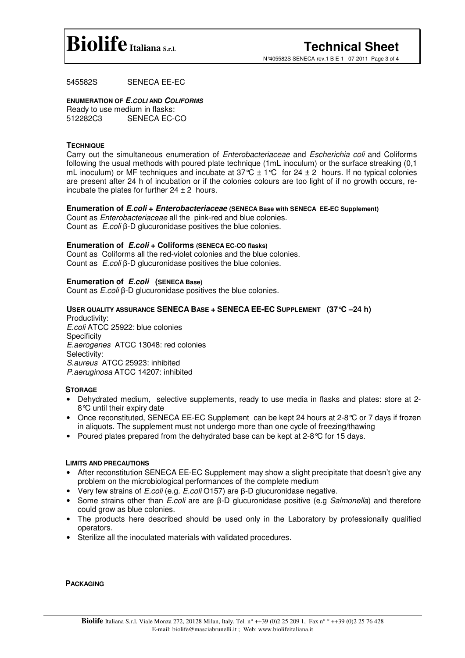

N°405582S SENECA-rev.1 B E-1 07-2011 Page 3 of 4

### 545582S SENECA EE-EC

### **ENUMERATION OF** *E.COLI* **AND** *COLIFORMS*

Ready to use medium in flasks: 512282C3 SENECA EC-CO

#### **TECHNIQUE**

Carry out the simultaneous enumeration of *Enterobacteriaceae* and *Escherichia coli* and Coliforms following the usual methods with poured plate technique (1mL inoculum) or the surface streaking (0,1 mL inoculum) or MF techniques and incubate at  $37^{\circ}C \pm 1^{\circ}C$  for  $24 \pm 2$  hours. If no typical colonies are present after 24 h of incubation or if the colonies colours are too light of if no growth occurs, reincubate the plates for further  $24 \pm 2$  hours.

#### **Enumeration of** *E.coli* **+** *Enterobacteriaceae* **(SENECA Base with SENECA EE-EC Supplement)**

Count as *Enterobacteriaceae* all the pink-red and blue colonies. Count as *E.coli*  $\beta$ -D glucuronidase positives the blue colonies.

#### **Enumeration of** *E.coli* **+ Coliforms (SENECA EC-CO flasks)**

Count as Coliforms all the red-violet colonies and the blue colonies. Count as *E.coli*  $\beta$ -D glucuronidase positives the blue colonies.

#### **Enumeration of** *E.coli* **(SENECA Base)**

Count as *E.coli*  $\beta$ -D glucuronidase positives the blue colonies.

#### **USER QUALITY ASSURANCE SENECA BASE + SENECA EE-EC SUPPLEMENT (37°C –24 h)**

Productivity: *E.coli* ATCC 25922: blue colonies **Specificity** *E.aerogenes* ATCC 13048: red colonies Selectivity: *S.aureus* ATCC 25923: inhibited *P.aeruginosa* ATCC 14207: inhibited

#### **STORAGE**

- Dehydrated medium, selective supplements, ready to use media in flasks and plates: store at 2- 8°C until their expiry date
- Once reconstituted, SENECA EE-EC Supplement can be kept 24 hours at 2-8 °C or 7 days if frozen in aliquots. The supplement must not undergo more than one cycle of freezing/thawing
- Poured plates prepared from the dehydrated base can be kept at  $2-8$  °C for 15 days.

#### **LIMITS AND PRECAUTIONS**

- After reconstitution SENECA EE-EC Supplement may show a slight precipitate that doesn't give any problem on the microbiological performances of the complete medium
- Very few strains of *E.coli* (e.g. *E.coli* O157) are β-D glucuronidase negative.
- Some strains other than *E.coli* are are  $\beta$ -D glucuronidase positive (e.g *Salmonella*) and therefore could grow as blue colonies.
- The products here described should be used only in the Laboratory by professionally qualified operators.
- Sterilize all the inoculated materials with validated procedures.

**PACKAGING**